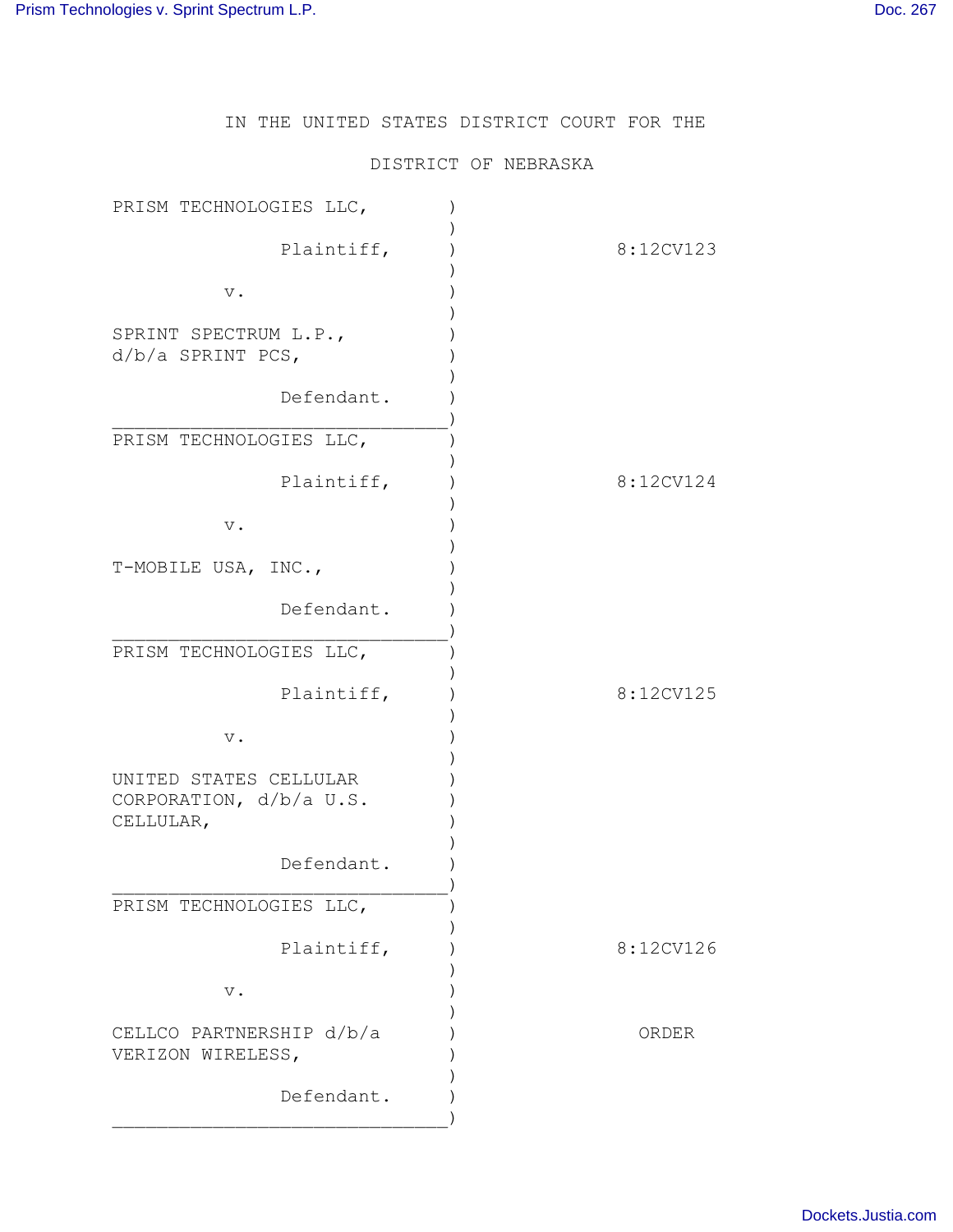IN THE UNITED STATES DISTRICT COURT FOR THE

## DISTRICT OF NEBRASKA

| PRISM TECHNOLOGIES LLC,                                        |           |
|----------------------------------------------------------------|-----------|
| Plaintiff,                                                     | 8:12CV123 |
| $\mathbf v$ .                                                  |           |
| SPRINT SPECTRUM L.P.,<br>$d/b/a$ SPRINT PCS,                   |           |
| Defendant.                                                     |           |
| PRISM TECHNOLOGIES LLC,                                        |           |
| Plaintiff,                                                     | 8:12CV124 |
| $\mathbf v$ .                                                  |           |
| T-MOBILE USA, INC.,                                            |           |
| Defendant.                                                     |           |
| PRISM TECHNOLOGIES LLC,                                        |           |
| Plaintiff,                                                     | 8:12CV125 |
| $\mathbf v$ .                                                  |           |
| UNITED STATES CELLULAR<br>CORPORATION, d/b/a U.S.<br>CELLULAR, |           |
| Defendant.                                                     |           |
| PRISM TECHNOLOGIES LLC,                                        |           |
| Plaintiff,                                                     | 8:12CV126 |
| $\mathbf v$ .                                                  |           |
| CELLCO PARTNERSHIP d/b/a<br>VERIZON WIRELESS,                  | ORDER     |
| Defendant.                                                     |           |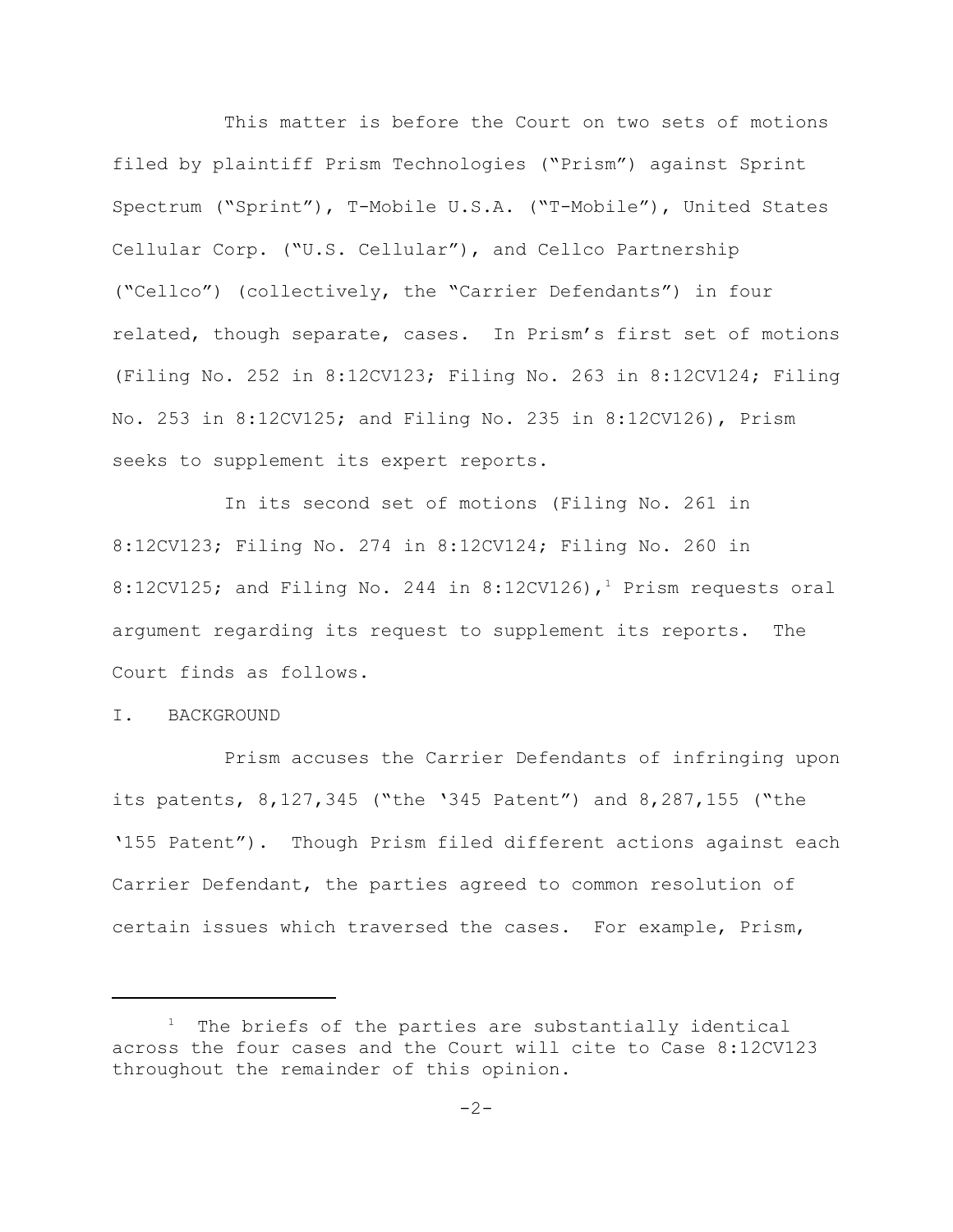This matter is before the Court on two sets of motions filed by plaintiff Prism Technologies ("Prism") against Sprint Spectrum ("Sprint"), T-Mobile U.S.A. ("T-Mobile"), United States Cellular Corp. ("U.S. Cellular"), and Cellco Partnership ("Cellco") (collectively, the "Carrier Defendants") in four related, though separate, cases. In Prism's first set of motions (Filing No. 252 in 8:12CV123; Filing No. 263 in 8:12CV124; Filing No. 253 in 8:12CV125; and Filing No. 235 in 8:12CV126), Prism seeks to supplement its expert reports.

In its second set of motions (Filing No. 261 in 8:12CV123; Filing No. 274 in 8:12CV124; Filing No. 260 in 8:12CV125; and Filing No. 244 in 8:12CV126),<sup>1</sup> Prism requests oral argument regarding its request to supplement its reports. The Court finds as follows.

## I. BACKGROUND

Prism accuses the Carrier Defendants of infringing upon its patents, 8,127,345 ("the '345 Patent") and 8,287,155 ("the '155 Patent"). Though Prism filed different actions against each Carrier Defendant, the parties agreed to common resolution of certain issues which traversed the cases. For example, Prism,

<sup>&</sup>lt;sup>1</sup> The briefs of the parties are substantially identical across the four cases and the Court will cite to Case 8:12CV123 throughout the remainder of this opinion.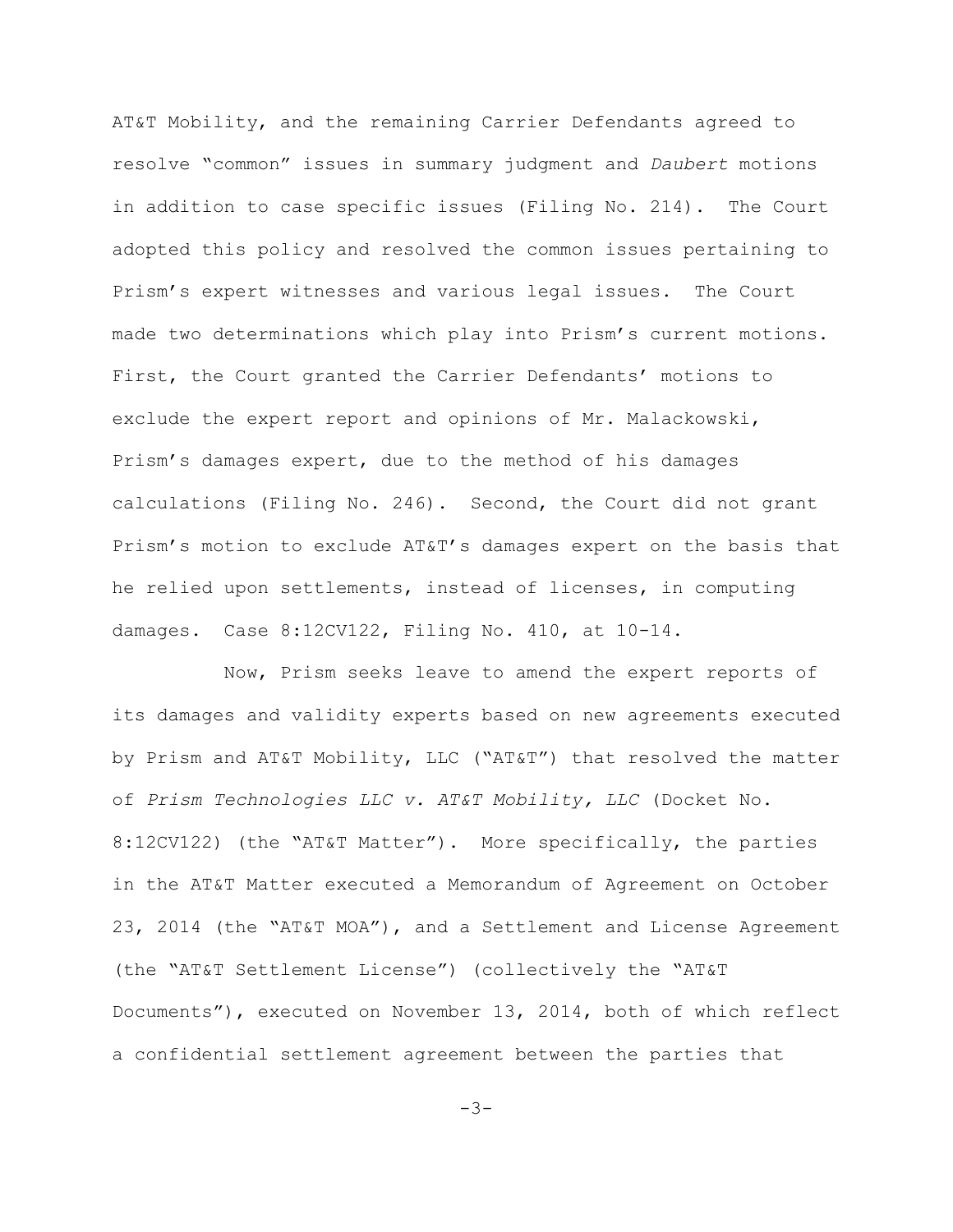AT&T Mobility, and the remaining Carrier Defendants agreed to resolve "common" issues in summary judgment and *Daubert* motions in addition to case specific issues (Filing No. 214). The Court adopted this policy and resolved the common issues pertaining to Prism's expert witnesses and various legal issues. The Court made two determinations which play into Prism's current motions. First, the Court granted the Carrier Defendants' motions to exclude the expert report and opinions of Mr. Malackowski, Prism's damages expert, due to the method of his damages calculations (Filing No. 246). Second, the Court did not grant Prism's motion to exclude AT&T's damages expert on the basis that he relied upon settlements, instead of licenses, in computing damages. Case 8:12CV122, Filing No. 410, at 10-14.

Now, Prism seeks leave to amend the expert reports of its damages and validity experts based on new agreements executed by Prism and AT&T Mobility, LLC ("AT&T") that resolved the matter of *Prism Technologies LLC v. AT&T Mobility, LLC* (Docket No. 8:12CV122) (the "AT&T Matter"). More specifically, the parties in the AT&T Matter executed a Memorandum of Agreement on October 23, 2014 (the "AT&T MOA"), and a Settlement and License Agreement (the "AT&T Settlement License") (collectively the "AT&T Documents"), executed on November 13, 2014, both of which reflect a confidential settlement agreement between the parties that

 $-3-$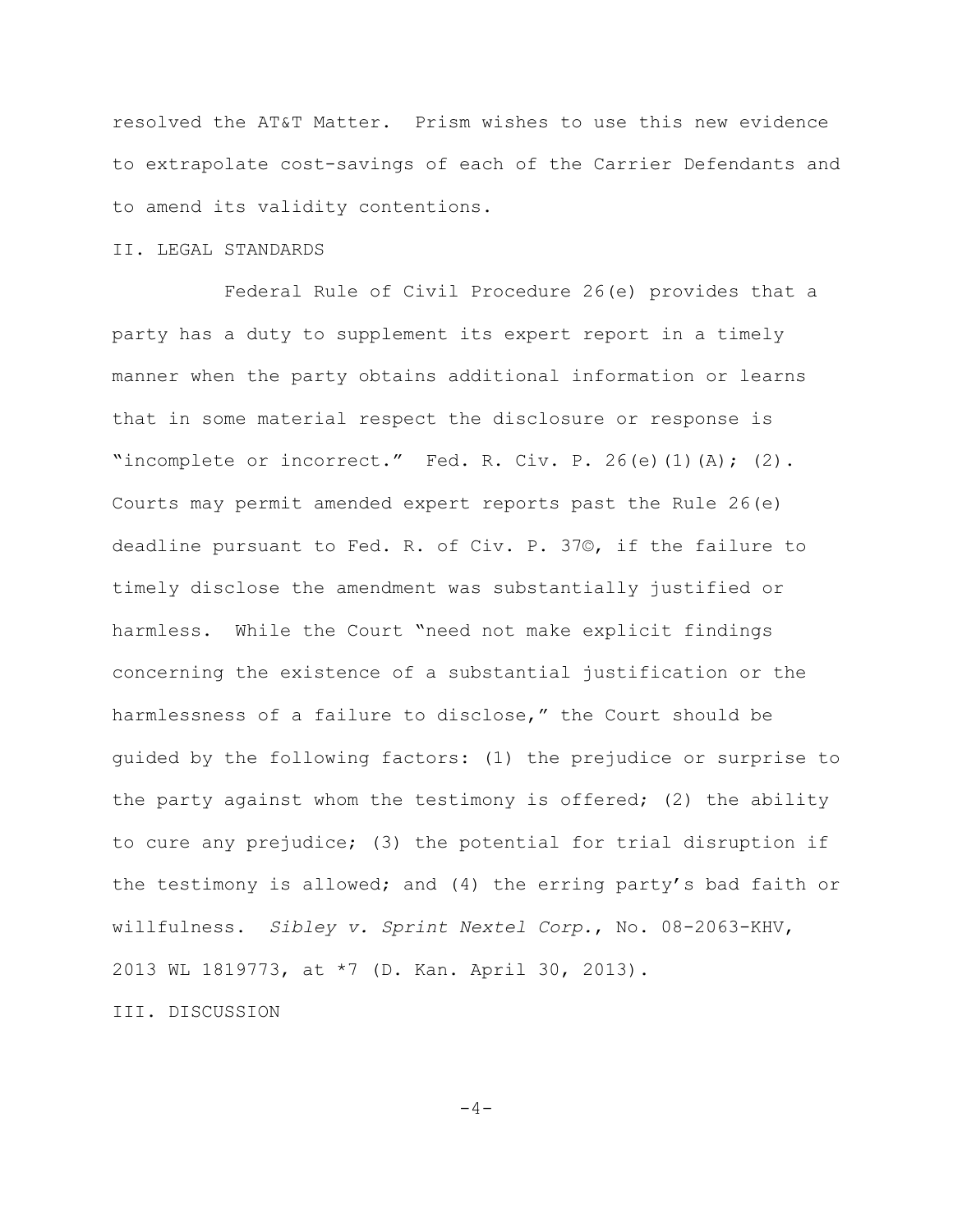resolved the AT&T Matter. Prism wishes to use this new evidence to extrapolate cost-savings of each of the Carrier Defendants and to amend its validity contentions.

## II. LEGAL STANDARDS

Federal Rule of Civil Procedure 26(e) provides that a party has a duty to supplement its expert report in a timely manner when the party obtains additional information or learns that in some material respect the disclosure or response is "incomplete or incorrect." Fed. R. Civ. P. 26(e)(1)(A); (2). Courts may permit amended expert reports past the Rule 26(e) deadline pursuant to Fed. R. of Civ. P. 37©, if the failure to timely disclose the amendment was substantially justified or harmless. While the Court "need not make explicit findings concerning the existence of a substantial justification or the harmlessness of a failure to disclose," the Court should be guided by the following factors: (1) the prejudice or surprise to the party against whom the testimony is offered; (2) the ability to cure any prejudice; (3) the potential for trial disruption if the testimony is allowed; and (4) the erring party's bad faith or willfulness. *Sibley v. Sprint Nextel Corp.*, No. 08-2063-KHV, 2013 WL 1819773, at \*7 (D. Kan. April 30, 2013).

III. DISCUSSION

 $-4-$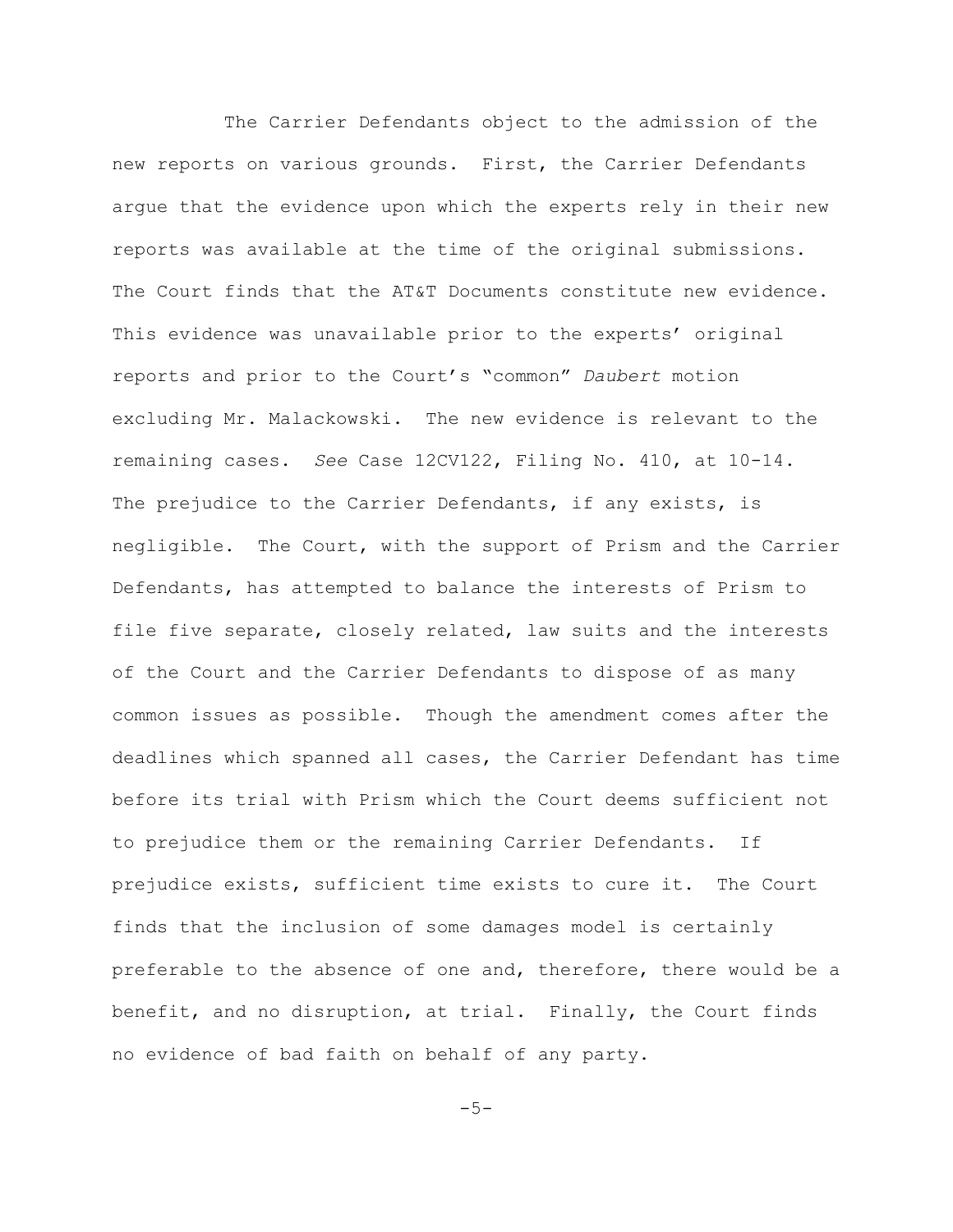The Carrier Defendants object to the admission of the new reports on various grounds. First, the Carrier Defendants argue that the evidence upon which the experts rely in their new reports was available at the time of the original submissions. The Court finds that the AT&T Documents constitute new evidence. This evidence was unavailable prior to the experts' original reports and prior to the Court's "common" *Daubert* motion excluding Mr. Malackowski. The new evidence is relevant to the remaining cases. *See* Case 12CV122, Filing No. 410, at 10-14. The prejudice to the Carrier Defendants, if any exists, is negligible. The Court, with the support of Prism and the Carrier Defendants, has attempted to balance the interests of Prism to file five separate, closely related, law suits and the interests of the Court and the Carrier Defendants to dispose of as many common issues as possible. Though the amendment comes after the deadlines which spanned all cases, the Carrier Defendant has time before its trial with Prism which the Court deems sufficient not to prejudice them or the remaining Carrier Defendants. If prejudice exists, sufficient time exists to cure it. The Court finds that the inclusion of some damages model is certainly preferable to the absence of one and, therefore, there would be a benefit, and no disruption, at trial. Finally, the Court finds no evidence of bad faith on behalf of any party.

 $-5-$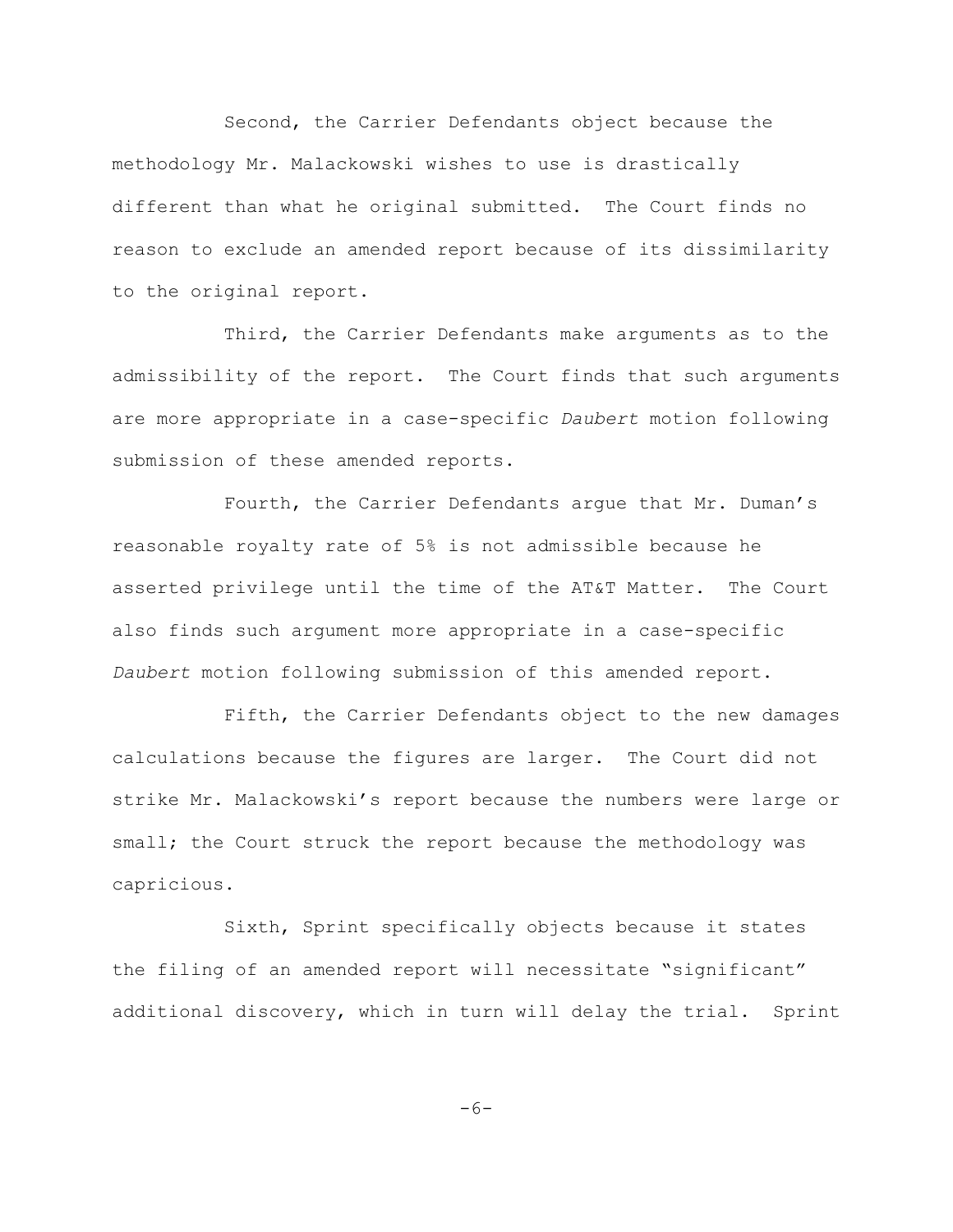Second, the Carrier Defendants object because the methodology Mr. Malackowski wishes to use is drastically different than what he original submitted. The Court finds no reason to exclude an amended report because of its dissimilarity to the original report.

Third, the Carrier Defendants make arguments as to the admissibility of the report. The Court finds that such arguments are more appropriate in a case-specific *Daubert* motion following submission of these amended reports.

Fourth, the Carrier Defendants argue that Mr. Duman's reasonable royalty rate of 5% is not admissible because he asserted privilege until the time of the AT&T Matter. The Court also finds such argument more appropriate in a case-specific *Daubert* motion following submission of this amended report.

Fifth, the Carrier Defendants object to the new damages calculations because the figures are larger. The Court did not strike Mr. Malackowski's report because the numbers were large or small; the Court struck the report because the methodology was capricious.

Sixth, Sprint specifically objects because it states the filing of an amended report will necessitate "significant" additional discovery, which in turn will delay the trial. Sprint

$$
-6-
$$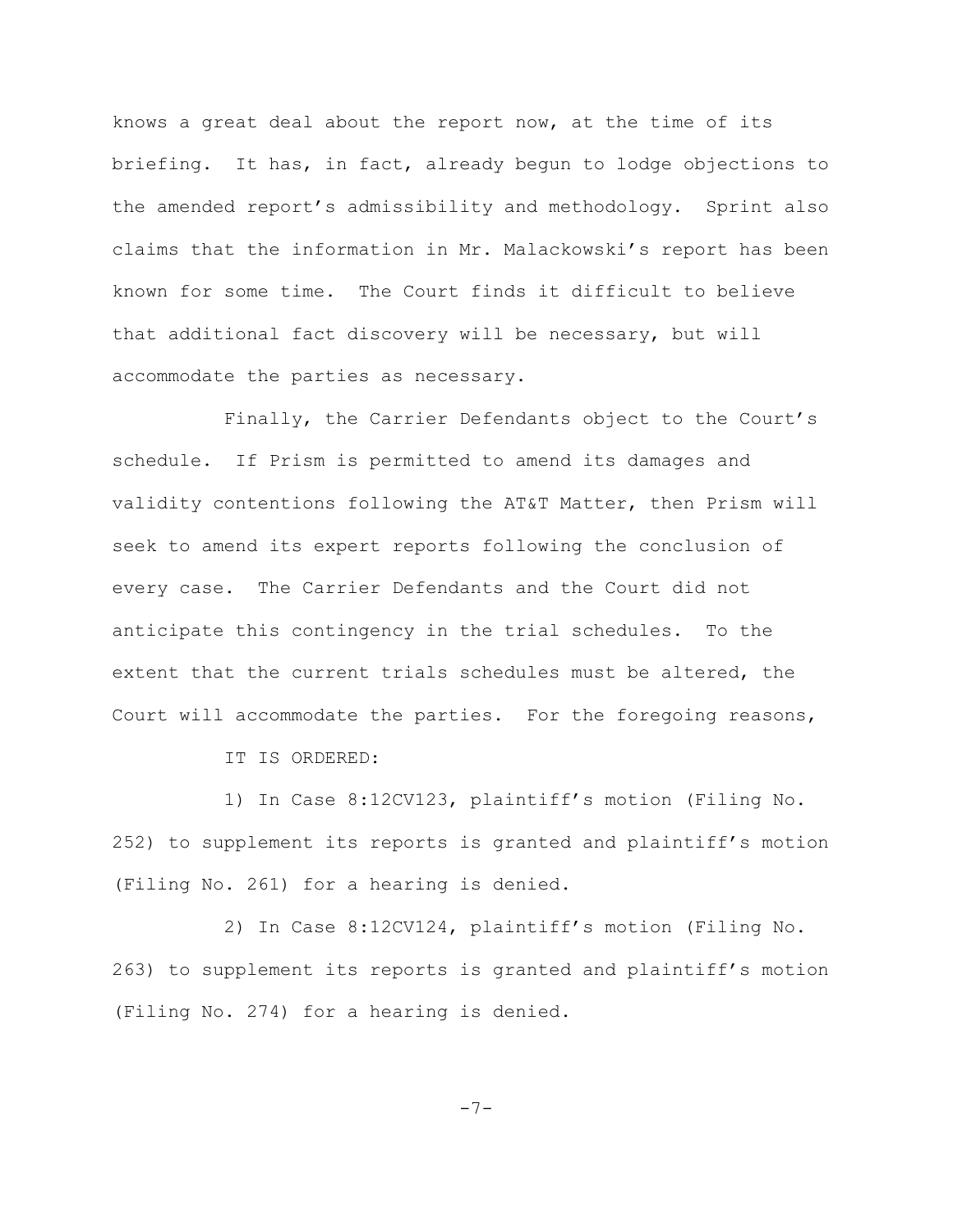knows a great deal about the report now, at the time of its briefing. It has, in fact, already begun to lodge objections to the amended report's admissibility and methodology. Sprint also claims that the information in Mr. Malackowski's report has been known for some time. The Court finds it difficult to believe that additional fact discovery will be necessary, but will accommodate the parties as necessary.

Finally, the Carrier Defendants object to the Court's schedule. If Prism is permitted to amend its damages and validity contentions following the AT&T Matter, then Prism will seek to amend its expert reports following the conclusion of every case. The Carrier Defendants and the Court did not anticipate this contingency in the trial schedules. To the extent that the current trials schedules must be altered, the Court will accommodate the parties. For the foregoing reasons,

IT IS ORDERED:

1) In Case 8:12CV123, plaintiff's motion (Filing No. 252) to supplement its reports is granted and plaintiff's motion (Filing No. 261) for a hearing is denied.

2) In Case 8:12CV124, plaintiff's motion (Filing No. 263) to supplement its reports is granted and plaintiff's motion (Filing No. 274) for a hearing is denied.

$$
-7 \\ -
$$